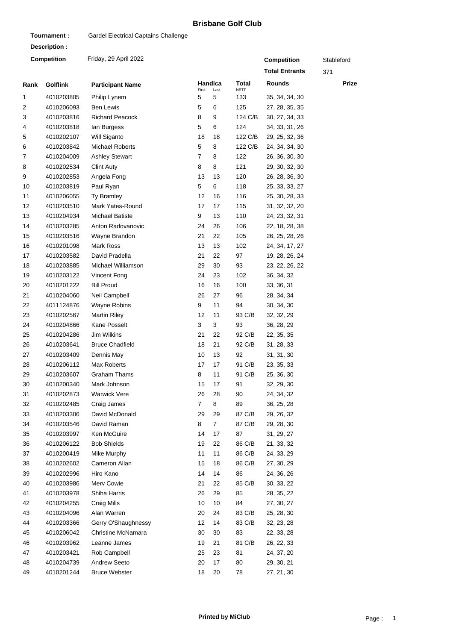## **Brisbane Golf Club**

| Tournament:  |                    | Gardel Electrical Captains Challenge |                |                    |                    |                       |       |
|--------------|--------------------|--------------------------------------|----------------|--------------------|--------------------|-----------------------|-------|
| Description: |                    |                                      |                |                    |                    |                       |       |
|              | <b>Competition</b> | Friday, 29 April 2022                |                | <b>Competition</b> | Stableford         |                       |       |
|              |                    |                                      |                |                    |                    | <b>Total Entrants</b> | 371   |
| Rank         | <b>Golflink</b>    | <b>Participant Name</b>              |                | Handica            | Total              | Rounds                | Prize |
| 1            | 4010203805         | Philip Lynem                         | First<br>5     | Last<br>5          | <b>NETT</b><br>133 | 35, 34, 34, 30        |       |
| 2            | 4010206093         | <b>Ben Lewis</b>                     | 5              | 6                  | 125                | 27, 28, 35, 35        |       |
| 3            | 4010203816         | <b>Richard Peacock</b>               | 8              | 9                  | 124 C/B            | 30, 27, 34, 33        |       |
| 4            | 4010203818         | lan Burgess                          | 5              | 6                  | 124                | 34, 33, 31, 26        |       |
| 5            | 4010202107         | Will Siganto                         | 18             | 18                 | 122 C/B            | 29, 25, 32, 36        |       |
| 6            | 4010203842         | <b>Michael Roberts</b>               | 5              | 8                  | 122 C/B            | 24, 34, 34, 30        |       |
| 7            | 4010204009         | <b>Ashley Stewart</b>                | $\overline{7}$ | 8                  | 122                | 26, 36, 30, 30        |       |
| 8            | 4010202534         | <b>Clint Auty</b>                    | 8              | 8                  | 121                | 29, 30, 32, 30        |       |
| 9            | 4010202853         | Angela Fong                          | 13             | 13                 | 120                | 26, 28, 36, 30        |       |
| 10           | 4010203819         | Paul Ryan                            | 5              | 6                  | 118                | 25, 33, 33, 27        |       |
| 11           | 4010206055         | <b>Ty Bramley</b>                    | 12             | 16                 | 116                | 25, 30, 28, 33        |       |
| 12           | 4010203510         | Mark Yates-Round                     | 17             | 17                 | 115                | 31, 32, 32, 20        |       |
| 13           | 4010204934         | <b>Michael Batiste</b>               | 9              | 13                 | 110                | 24, 23, 32, 31        |       |
| 14           | 4010203285         | Anton Radovanovic                    | 24             | 26                 | 106                | 22, 18, 28, 38        |       |
| 15           | 4010203516         | Wayne Brandon                        | 21             | 22                 | 105                | 26, 25, 28, 26        |       |
| 16           | 4010201098         | Mark Ross                            | 13             | 13                 | 102                | 24, 34, 17, 27        |       |
| 17           | 4010203582         | David Pradella                       | 21             | 22                 | 97                 | 19, 28, 26, 24        |       |
| 18           | 4010203885         | Michael Williamson                   | 29             | 30                 | 93                 | 23, 22, 26, 22        |       |
| 19           | 4010203122         | Vincent Fong                         | 24             | 23                 | 102                | 36, 34, 32            |       |
| 20           | 4010201222         | <b>Bill Proud</b>                    | 16             | 16                 | 100                | 33, 36, 31            |       |
| 21           | 4010204060         | Neil Campbell                        | 26             | 27                 | 96                 | 28, 34, 34            |       |
| 22           | 4011124876         | Wayne Robins                         | 9              | 11                 | 94                 | 30, 34, 30            |       |
| 23           | 4010202567         | <b>Martin Riley</b>                  | 12             | 11                 | 93 C/B             | 32, 32, 29            |       |
| 24           | 4010204866         | Kane Posselt                         | 3              | 3                  | 93                 | 36, 28, 29            |       |
| 25           | 4010204286         | Jim Wilkins                          | 21             | 22                 | 92 C/B             | 22, 35, 35            |       |
| 26           | 4010203641         | <b>Bruce Chadfield</b>               | 18             | 21                 | 92 C/B             | 31, 28, 33            |       |
| 27           | 4010203409         | Dennis May                           | 10             | 13                 | 92                 | 31, 31, 30            |       |
| 28           | 4010206112         | Max Roberts                          | 17             | 17                 | 91 C/B             | 23, 35, 33            |       |
| 29           | 4010203607         | <b>Graham Thams</b>                  | 8              | 11                 | 91 C/B             | 25, 36, 30            |       |
| 30           | 4010200340         | Mark Johnson                         | 15             | 17                 | 91                 | 32, 29, 30            |       |
| 31           | 4010202873         | <b>Warwick Vere</b>                  | 26             | 28                 | 90                 | 24, 34, 32            |       |
| 32           | 4010202485         | Craig James                          | $\overline{7}$ | 8                  | 89                 | 36, 25, 28            |       |
| 33           | 4010203306         | David McDonald                       | 29             | 29                 | 87 C/B             | 29, 26, 32            |       |
| 34           | 4010203546         | David Raman                          | 8              | $\overline{7}$     | 87 C/B             | 29, 28, 30            |       |
| 35           | 4010203997         | Ken McGuire                          | 14             | 17                 | 87                 | 31, 29, 27            |       |
| 36           | 4010206122         | <b>Bob Shields</b>                   | 19             | 22                 | 86 C/B             | 21, 33, 32            |       |
| 37           | 4010200419         | Mike Murphy                          | 11             | 11                 | 86 C/B             | 24, 33, 29            |       |
| 38           | 4010202602         | Cameron Allan                        | 15             | 18                 | 86 C/B             | 27, 30, 29            |       |
| 39           | 4010202996         | Hiro Kano                            | 14             | 14                 | 86                 | 24, 36, 26            |       |
| 40           | 4010203986         | Merv Cowie                           | 21             | 22                 | 85 C/B             | 30, 33, 22            |       |
| 41           | 4010203978         | Shiha Harris                         | 26             | 29                 | 85                 | 28, 35, 22            |       |
| 42           | 4010204255         | Craig Mills                          | 10             | 10                 | 84                 | 27, 30, 27            |       |
| 43           | 4010204096         | Alan Warren                          | 20             | 24                 | 83 C/B             | 25, 28, 30            |       |
| 44           | 4010203366         | Gerry O'Shaughnessy                  | 12             | 14                 | 83 C/B             | 32, 23, 28            |       |
| 45           | 4010206042         | Christine McNamara                   | 30             | 30                 | 83                 | 22, 33, 28            |       |
| 46           | 4010203962         | Leanne James                         | 19             | 21                 | 81 C/B             | 26, 22, 33            |       |
| 47           | 4010203421         | Rob Campbell                         | 25             | 23                 | 81                 | 24, 37, 20            |       |
| 48           | 4010204739         | Andrew Seeto                         | 20             | 17                 | 80                 | 29, 30, 21            |       |
| 49           | 4010201244         | <b>Bruce Webster</b>                 | 18             | 20                 | 78                 | 27, 21, 30            |       |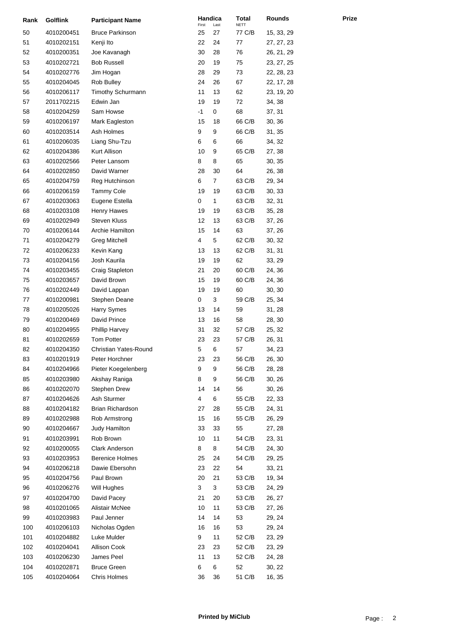| Rank     | <b>Golflink</b> | <b>Participant Name</b>  | Handica<br>First | Last | Total<br><b>NETT</b> | Rounds     |
|----------|-----------------|--------------------------|------------------|------|----------------------|------------|
| 50       | 4010200451      | <b>Bruce Parkinson</b>   | 25               | 27   | 77 C/B               | 15, 33, 29 |
| 51       | 4010202151      | Kenji Ito                | 22               | 24   | 77                   | 27, 27, 23 |
| 52       | 4010200351      | Joe Kavanagh             | 30               | 28   | 76                   | 26, 21, 29 |
| 53       | 4010202721      | <b>Bob Russell</b>       | 20               | 19   | 75                   | 23, 27, 25 |
| 54       | 4010202776      | Jim Hogan                | 28               | 29   | 73                   | 22, 28, 23 |
| 55       | 4010204045      | Rob Bulley               | 24               | 26   | 67                   | 22, 17, 28 |
| 56       | 4010206117      | <b>Timothy Schurmann</b> | 11               | 13   | 62                   | 23, 19, 20 |
| 57       | 2011702215      | Edwin Jan                | 19               | 19   | 72                   | 34, 38     |
| 58       | 4010204259      | Sam Howse                | $-1$             | 0    | 68                   | 37, 31     |
| 59       | 4010206197      | Mark Eagleston           | 15               | 18   | 66 C/B               | 30, 36     |
| 60       | 4010203514      | Ash Holmes               | 9                | 9    | 66 C/B               | 31, 35     |
| 61       | 4010206035      | Liang Shu-Tzu            | 6                | 6    | 66                   | 34, 32     |
| 62       | 4010204386      | Kurt Allison             | 10               | 9    | 65 C/B               | 27, 38     |
| 63       | 4010202566      | Peter Lansom             | 8                | 8    | 65                   | 30, 35     |
| 64       | 4010202850      | David Warner             | 28               | 30   | 64                   | 26, 38     |
| 65       | 4010204759      | Reg Hutchinson           | 6                | 7    | 63 C/B               | 29, 34     |
| 66       | 4010206159      | <b>Tammy Cole</b>        | 19               | 19   | 63 C/B               | 30, 33     |
| 67       | 4010203063      | Eugene Estella           | 0                | 1    | 63 C/B               | 32, 31     |
| 68       | 4010203108      | Henry Hawes              | 19               | 19   | 63 C/B               | 35, 28     |
| 69       | 4010202949      | <b>Steven Kluss</b>      | 12               | 13   | 63 C/B               | 37, 26     |
|          | 4010206144      | Archie Hamilton          | 15               | 14   | 63                   |            |
| 70<br>71 |                 |                          | 4                | 5    | 62 C/B               | 37, 26     |
|          | 4010204279      | <b>Greg Mitchell</b>     |                  |      |                      | 30, 32     |
| 72       | 4010206233      | Kevin Kang               | 13               | 13   | 62 C/B               | 31, 31     |
| 73       | 4010204156      | Josh Kaurila             | 19               | 19   | 62                   | 33, 29     |
| 74       | 4010203455      | Craig Stapleton          | 21               | 20   | 60 C/B               | 24, 36     |
| 75       | 4010203657      | David Brown              | 15               | 19   | 60 C/B               | 24, 36     |
| 76       | 4010202449      | David Lappan             | 19               | 19   | 60                   | 30, 30     |
| 77       | 4010200981      | Stephen Deane            | 0                | 3    | 59 C/B               | 25, 34     |
| 78       | 4010205026      | Harry Symes              | 13               | 14   | 59                   | 31, 28     |
| 79       | 4010200469      | David Prince             | 13               | 16   | 58                   | 28, 30     |
| 80       | 4010204955      | <b>Phillip Harvey</b>    | 31               | 32   | 57 C/B               | 25, 32     |
| 81       | 4010202659      | <b>Tom Potter</b>        | 23               | 23   | 57 C/B               | 26, 31     |
| 82       | 4010204350      | Christian Yates-Round    | 5                | 6    | 57                   | 34, 23     |
| 83       | 4010201919      | Peter Horchner           | 23               | 23   | 56 C/B               | 26, 30     |
| 84       | 4010204966      | Pieter Koegelenberg      | 9                | 9    | 56 C/B               | 28, 28     |
| 85       | 4010203980      | Akshay Raniga            | 8                | 9    | 56 C/B               | 30, 26     |
| 86       | 4010202070      | Stephen Drew             | 14               | 14   | 56                   | 30, 26     |
| 87       | 4010204626      | Ash Sturmer              | 4                | 6    | 55 C/B               | 22, 33     |
| 88       | 4010204182      | <b>Brian Richardson</b>  | 27               | 28   | 55 C/B               | 24, 31     |
| 89       | 4010202988      | Rob Armstrong            | 15               | 16   | 55 C/B               | 26, 29     |
| 90       | 4010204667      | Judy Hamilton            | 33               | 33   | 55                   | 27, 28     |
| 91       | 4010203991      | Rob Brown                | 10               | 11   | 54 C/B               | 23, 31     |
| 92       | 4010200055      | <b>Clark Anderson</b>    | 8                | 8    | 54 C/B               | 24, 30     |
| 93       | 4010203953      | <b>Berenice Holmes</b>   | 25               | 24   | 54 C/B               | 29, 25     |
| 94       | 4010206218      | Dawie Ebersohn           | 23               | 22   | 54                   | 33, 21     |
| 95       | 4010204756      | Paul Brown               | 20               | 21   | 53 C/B               | 19, 34     |
| 96       | 4010206276      | Will Hughes              | 3                | 3    | 53 C/B               | 24, 29     |
| 97       | 4010204700      | David Pacey              | 21               | 20   | 53 C/B               | 26, 27     |
| 98       | 4010201065      | Alistair McNee           | 10               | 11   | 53 C/B               | 27, 26     |
| 99       | 4010203983      | Paul Jenner              | 14               | 14   | 53                   | 29, 24     |
| 100      | 4010206103      | Nicholas Ogden           | 16               | 16   | 53                   | 29, 24     |
| 101      | 4010204882      | Luke Mulder              | 9                | 11   | 52 C/B               | 23, 29     |
| 102      | 4010204041      | Allison Cook             | 23               | 23   | 52 C/B               | 23, 29     |
| 103      | 4010206230      | James Peel               | 11               | 13   | 52 C/B               | 24, 28     |
| 104      | 4010202871      | <b>Bruce Green</b>       | 6                | 6    | 52                   | 30, 22     |
| 105      | 4010204064      | Chris Holmes             | 36               | 36   | 51 C/B               | 16, 35     |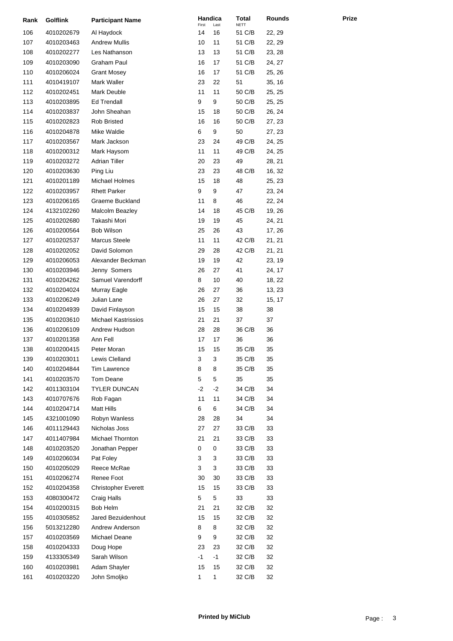| Rank | <b>Golflink</b> | <b>Participant Name</b>    | Handica<br>First | Last         | Total<br><b>NETT</b> | <b>Rounds</b> |
|------|-----------------|----------------------------|------------------|--------------|----------------------|---------------|
| 106  | 4010202679      | Al Haydock                 | 14               | 16           | 51 C/B               | 22, 29        |
| 107  | 4010203463      | <b>Andrew Mullis</b>       | 10               | 11           | 51 C/B               | 22, 29        |
| 108  | 4010202277      | Les Nathanson              | 13               | 13           | 51 C/B               | 23, 28        |
| 109  | 4010203090      | Graham Paul                | 16               | 17           | 51 C/B               | 24, 27        |
| 110  | 4010206024      | <b>Grant Mosey</b>         | 16               | 17           | 51 C/B               | 25, 26        |
| 111  | 4010419107      | Mark Waller                | 23               | 22           | 51                   | 35, 16        |
| 112  | 4010202451      | Mark Deuble                | 11               | 11           | 50 C/B               | 25, 25        |
| 113  | 4010203895      | <b>Ed Trendall</b>         | 9                | 9            | 50 C/B               | 25, 25        |
| 114  | 4010203837      | John Sheahan               | 15               | 18           | 50 C/B               | 26, 24        |
| 115  | 4010202823      | <b>Rob Bristed</b>         | 16               | 16           | 50 C/B               | 27, 23        |
| 116  | 4010204878      | Mike Waldie                | 6                | 9            | 50                   | 27, 23        |
| 117  | 4010203567      | Mark Jackson               | 23               | 24           | 49 C/B               | 24, 25        |
| 118  | 4010200312      | Mark Haysom                | 11               | 11           | 49 C/B               | 24, 25        |
| 119  | 4010203272      | <b>Adrian Tiller</b>       | 20               | 23           | 49                   | 28, 21        |
| 120  | 4010203630      | Ping Liu                   | 23               | 23           | 48 C/B               | 16, 32        |
| 121  | 4010201189      | Michael Holmes             | 15               | 18           | 48                   | 25, 23        |
| 122  | 4010203957      | <b>Rhett Parker</b>        | 9                | 9            | 47                   | 23, 24        |
| 123  | 4010206165      | Graeme Buckland            | 11               | 8            | 46                   | 22, 24        |
| 124  | 4132102260      | Malcolm Beazley            | 14               | 18           | 45 C/B               | 19, 26        |
| 125  | 4010202680      | Takashi Mori               | 19               | 19           | 45                   | 24, 21        |
| 126  | 4010200564      | Bob Wilson                 | 25               | 26           | 43                   | 17, 26        |
| 127  | 4010202537      | Marcus Steele              | 11               | 11           | 42 C/B               | 21, 21        |
| 128  | 4010202052      | David Solomon              | 29               | 28           | 42 C/B               | 21, 21        |
| 129  | 4010206053      | Alexander Beckman          | 19               | 19           | 42                   |               |
|      |                 |                            | 26               | 27           | 41                   | 23, 19        |
| 130  | 4010203946      | Jenny Somers               |                  |              |                      | 24, 17        |
| 131  | 4010204262      | Samuel Varendorff          | 8                | 10           | 40                   | 18, 22        |
| 132  | 4010204024      | Murray Eagle               | 26               | 27           | 36                   | 13, 23        |
| 133  | 4010206249      | Julian Lane                | 26               | 27           | 32                   | 15, 17        |
| 134  | 4010204939      | David Finlayson            | 15               | 15           | 38                   | 38            |
| 135  | 4010203610      | <b>Michael Kastrissios</b> | 21               | 21           | 37                   | 37            |
| 136  | 4010206109      | Andrew Hudson              | 28               | 28           | 36 C/B               | 36            |
| 137  | 4010201358      | Ann Fell                   | 17               | 17           | 36                   | 36            |
| 138  | 4010200415      | Peter Moran                | 15               | 15           | 35 C/B               | 35            |
| 139  | 4010203011      | Lewis Clelland             | 3                | 3            | 35 C/B               | 35            |
| 140  | 4010204844      | Tim Lawrence               | 8                | 8            | 35 C/B               | 35            |
| 141  | 4010203570      | Tom Deane                  | 5                | 5            | 35                   | 35            |
| 142  | 4011303104      | <b>TYLER DUNCAN</b>        | $-2$             | $-2$         | 34 C/B               | 34            |
| 143  | 4010707676      | Rob Fagan                  | 11               | 11           | 34 C/B               | 34            |
| 144  | 4010204714      | <b>Matt Hills</b>          | 6                | 6            | 34 C/B               | 34            |
| 145  | 4321001090      | Robyn Wanless              | 28               | 28           | 34                   | 34            |
| 146  | 4011129443      | Nicholas Joss              | 27               | 27           | 33 C/B               | 33            |
| 147  | 4011407984      | Michael Thornton           | 21               | 21           | 33 C/B               | 33            |
| 148  | 4010203520      | Jonathan Pepper            | 0                | 0            | 33 C/B               | 33            |
| 149  | 4010206034      | Pat Foley                  | 3                | 3            | 33 C/B               | 33            |
| 150  | 4010205029      | Reece McRae                | 3                | 3            | 33 C/B               | 33            |
| 151  | 4010206274      | Renee Foot                 | 30               | 30           | 33 C/B               | 33            |
| 152  | 4010204358      | <b>Christopher Everett</b> | 15               | 15           | 33 C/B               | 33            |
| 153  | 4080300472      | Craig Halls                | 5                | 5            | 33                   | 33            |
| 154  | 4010200315      | Bob Helm                   | 21               | 21           | 32 C/B               | 32            |
| 155  | 4010305852      | Jared Bezuidenhout         | 15               | 15           | 32 C/B               | 32            |
| 156  | 5013212280      | Andrew Anderson            | 8                | 8            | 32 C/B               | 32            |
| 157  | 4010203569      | Michael Deane              | 9                | 9            | 32 C/B               | 32            |
| 158  | 4010204333      | Doug Hope                  | 23               | 23           | 32 C/B               | 32            |
| 159  | 4133305349      | Sarah Wilson               | $-1$             | -1           | 32 C/B               | 32            |
| 160  | 4010203981      | Adam Shayler               | 15               | 15           | 32 C/B               | 32            |
| 161  | 4010203220      | John Smoljko               | 1                | $\mathbf{1}$ | 32 C/B               | 32            |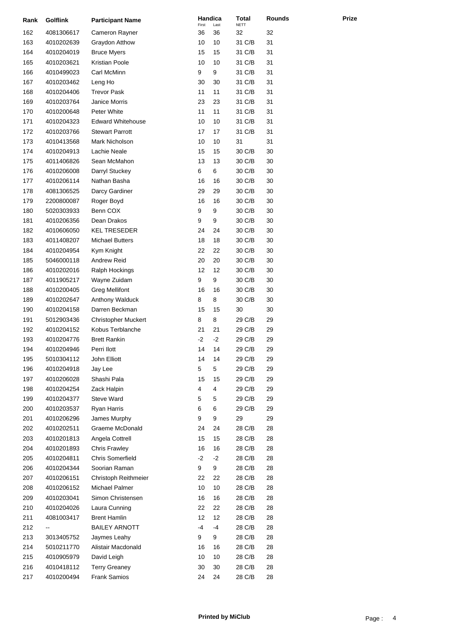| Rank       | <b>Golflink</b>          | <b>Participant Name</b>                        | Handica     |            | <b>Total</b><br><b>NETT</b> | <b>Rounds</b> |  |
|------------|--------------------------|------------------------------------------------|-------------|------------|-----------------------------|---------------|--|
| 162        | 4081306617               | Cameron Rayner                                 | First<br>36 | Last<br>36 | 32                          | 32            |  |
| 163        | 4010202639               | Graydon Atthow                                 | 10          | 10         | 31 C/B                      | 31            |  |
| 164        | 4010204019               | <b>Bruce Myers</b>                             | 15          | 15         | 31 C/B                      | 31            |  |
| 165        | 4010203621               | Kristian Poole                                 | 10          | 10         | 31 C/B                      | 31            |  |
| 166        | 4010499023               | Carl McMinn                                    | 9           | 9          | 31 C/B                      | 31            |  |
| 167        | 4010203462               | Leng Ho                                        | 30          | 30         | 31 C/B                      | 31            |  |
| 168        | 4010204406               | <b>Trevor Pask</b>                             | 11          | 11         | 31 C/B                      | 31            |  |
| 169        | 4010203764               | Janice Morris                                  | 23          | 23         | 31 C/B                      | 31            |  |
| 170        | 4010200648               | Peter White                                    | 11          | 11         | 31 C/B                      | 31            |  |
| 171        | 4010204323               | <b>Edward Whitehouse</b>                       | 10          | 10         | 31 C/B                      | 31            |  |
| 172        | 4010203766               | <b>Stewart Parrott</b>                         | 17          | 17         | 31 C/B                      | 31            |  |
| 173        | 4010413568               | Mark Nicholson                                 | 10          | 10         | 31                          | 31            |  |
| 174        | 4010204913               | Lachie Neale                                   | 15          | 15         | 30 C/B                      | 30            |  |
| 175        | 4011406826               | Sean McMahon                                   | 13          | 13         | 30 C/B                      | 30            |  |
| 176        | 4010206008               | Darryl Stuckey                                 | 6           | 6          | 30 C/B                      | 30            |  |
| 177        | 4010206114               | Nathan Basha                                   | 16          | 16         | 30 C/B                      | 30            |  |
| 178        | 4081306525               | Darcy Gardiner                                 | 29          | 29         | 30 C/B                      | 30            |  |
| 179        | 2200800087               | Roger Boyd                                     | 16          | 16         | 30 C/B                      | 30            |  |
| 180        | 5020303933               | Benn COX                                       | 9           | 9          | 30 C/B                      | 30            |  |
| 181        | 4010206356               | Dean Drakos                                    | 9           | 9          | 30 C/B                      | 30            |  |
| 182        | 4010606050               | <b>KEL TRESEDER</b>                            | 24          | 24         | 30 C/B                      | 30            |  |
| 183        | 4011408207               | <b>Michael Butters</b>                         | 18          | 18         | 30 C/B                      | 30            |  |
| 184        | 4010204954               | Kym Knight                                     | 22          | 22         | 30 C/B                      | 30            |  |
| 185        |                          | Andrew Reid                                    | 20          | 20         | 30 C/B                      | 30            |  |
| 186        | 5046000118               |                                                | 12          | 12         | 30 C/B                      | 30            |  |
|            | 4010202016               | Ralph Hockings<br>Wayne Zuidam                 |             |            |                             |               |  |
| 187        | 4011905217               |                                                | 9           | 9          | 30 C/B                      | 30            |  |
| 188        | 4010200405               | <b>Greg Mellifont</b>                          | 16          | 16         | 30 C/B                      | 30            |  |
| 189        | 4010202647               | Anthony Walduck                                | 8           | 8          | 30 C/B                      | 30            |  |
| 190        | 4010204158               | Darren Beckman                                 | 15<br>8     | 15         | 30                          | 30            |  |
| 191<br>192 | 5012903436<br>4010204152 | <b>Christopher Muckert</b><br>Kobus Terblanche | 21          | 8<br>21    | 29 C/B<br>29 C/B            | 29<br>29      |  |
|            |                          | <b>Brett Rankin</b>                            | -2          |            |                             |               |  |
| 193        | 4010204776               | Perri llott                                    | 14          | -2<br>14   | 29 C/B                      | 29            |  |
| 194        | 4010204946               |                                                |             |            | 29 C/B                      | 29            |  |
| 195        | 5010304112               | John Elliott                                   | 14          | 14         | 29 C/B                      | 29            |  |
| 196        | 4010204918               | Jay Lee<br>Shashi Pala                         | 5<br>15     | 5          | 29 C/B                      | 29            |  |
| 197        | 4010206028               |                                                |             | 15         | 29 C/B                      | 29            |  |
| 198        | 4010204254               | Zack Halpin                                    | 4           | 4          | 29 C/B                      | 29            |  |
| 199        | 4010204377               | <b>Steve Ward</b>                              | 5           | 5          | 29 C/B                      | 29            |  |
| 200        | 4010203537               | <b>Ryan Harris</b>                             | 6           | 6          | 29 C/B                      | 29            |  |
| 201        | 4010206296               | James Murphy                                   | 9           | 9          | 29                          | 29            |  |
| 202        | 4010202511               | Graeme McDonald                                | 24          | 24         | 28 C/B                      | 28            |  |
| 203        | 4010201813               | Angela Cottrell<br><b>Chris Frawley</b>        | 15          | 15         | 28 C/B                      | 28            |  |
| 204        | 4010201893               |                                                | 16<br>-2    | 16         | 28 C/B                      | 28            |  |
| 205        | 4010204811               | <b>Chris Somerfield</b>                        |             | -2         | 28 C/B                      | 28            |  |
| 206        | 4010204344               | Soorian Raman                                  | 9           | 9          | 28 C/B                      | 28            |  |
| 207        | 4010206151               | Christoph Reithmeier                           | 22          | 22         | 28 C/B                      | 28            |  |
| 208        | 4010206152               | Michael Palmer                                 | 10          | 10         | 28 C/B                      | 28            |  |
| 209        | 4010203041               | Simon Christensen                              | 16          | 16         | 28 C/B                      | 28            |  |
| 210        | 4010204026               | Laura Cunning                                  | 22          | 22         | 28 C/B                      | 28            |  |
| 211        | 4081003417               | <b>Brent Hamlin</b>                            | 12          | 12         | 28 C/B                      | 28            |  |
| 212        |                          | <b>BAILEY ARNOTT</b>                           | -4          | -4         | 28 C/B                      | 28            |  |
| 213        | 3013405752               | Jaymes Leahy                                   | 9           | 9          | 28 C/B                      | 28            |  |
| 214        | 5010211770               | Alistair Macdonald                             | 16          | 16         | 28 C/B                      | 28            |  |
| 215        | 4010905979               | David Leigh                                    | 10          | 10         | 28 C/B                      | 28            |  |
| 216        | 4010418112               | <b>Terry Greaney</b>                           | 30          | 30         | 28 C/B                      | 28            |  |
| 217        | 4010200494               | Frank Samios                                   | 24          | 24         | 28 C/B                      | 28            |  |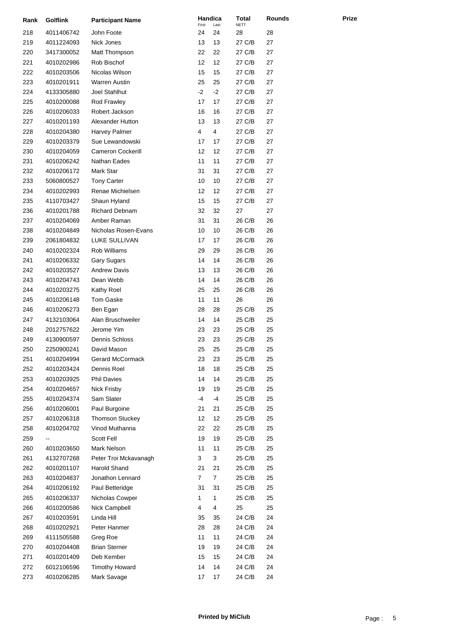| Rank | <b>Golflink</b> | <b>Participant Name</b>  | Handica<br>First | Last | <b>Total</b><br><b>NETT</b> | Rounds |
|------|-----------------|--------------------------|------------------|------|-----------------------------|--------|
| 218  | 4011406742      | John Foote               | 24               | 24   | 28                          | 28     |
| 219  | 4011224093      | Nick Jones               | 13               | 13   | 27 C/B                      | 27     |
| 220  | 3417300052      | Matt Thompson            | 22               | 22   | 27 C/B                      | 27     |
| 221  | 4010202986      | Rob Bischof              | 12               | 12   | 27 C/B                      | 27     |
| 222  | 4010203506      | Nicolas Wilson           | 15               | 15   | 27 C/B                      | 27     |
| 223  | 4010201911      | Warren Austin            | 25               | 25   | 27 C/B                      | 27     |
| 224  | 4133305880      | Joel Stahlhut            | $-2$             | $-2$ | 27 C/B                      | 27     |
| 225  | 4010200088      | Rod Frawley              | 17               | 17   | 27 C/B                      | 27     |
| 226  | 4010206033      | Robert Jackson           | 16               | 16   | 27 C/B                      | 27     |
| 227  | 4010201193      | Alexander Hutton         | 13               | 13   | 27 C/B                      | 27     |
| 228  | 4010204380      | Harvey Palmer            | 4                | 4    | 27 C/B                      | 27     |
| 229  | 4010203379      | Sue Lewandowski          | 17               | 17   | 27 C/B                      | 27     |
| 230  | 4010204059      | <b>Cameron Cockerill</b> | 12               | 12   | 27 C/B                      | 27     |
| 231  | 4010206242      | Nathan Eades             | 11               | 11   | 27 C/B                      | 27     |
| 232  | 4010206172      | Mark Star                | 31               | 31   | 27 C/B                      | 27     |
| 233  | 5060800527      | <b>Tony Carter</b>       | 10               | 10   | 27 C/B                      | 27     |
| 234  | 4010202993      | Renae Michielsen         | 12               | 12   | 27 C/B                      | 27     |
| 235  | 4110703427      | Shaun Hyland             | 15               | 15   | 27 C/B                      | 27     |
| 236  | 4010201788      | <b>Richard Debnam</b>    | 32               | 32   | 27                          | 27     |
| 237  | 4010204069      | Amber Raman              | 31               | 31   | 26 C/B                      | 26     |
| 238  | 4010204849      | Nicholas Rosen-Evans     | 10               | 10   | 26 C/B                      | 26     |
| 239  | 2061804832      | LUKE SULLIVAN            | 17               | 17   | 26 C/B                      | 26     |
| 240  | 4010202324      | <b>Rob Williams</b>      | 29               | 29   | 26 C/B                      | 26     |
| 241  | 4010206332      | Gary Sugars              | 14               | 14   | 26 C/B                      | 26     |
| 242  | 4010203527      | <b>Andrew Davis</b>      | 13               | 13   | 26 C/B                      | 26     |
| 243  | 4010204743      | Dean Webb                | 14               | 14   | 26 C/B                      | 26     |
| 244  | 4010203275      | Kathy Roel               | 25               | 25   | 26 C/B                      | 26     |
| 245  | 4010206148      | Tom Gaske                | 11               | 11   | 26                          | 26     |
| 246  | 4010206273      | Ben Egan                 | 28               | 28   | 25 C/B                      | 25     |
| 247  | 4132103064      | Alan Bruschweiler        | 14               | 14   | 25 C/B                      | 25     |
| 248  | 2012757622      | Jerome Yim               | 23               | 23   | 25 C/B                      | 25     |
| 249  | 4130900597      | <b>Dennis Schloss</b>    | 23               | 23   | 25 C/B                      | 25     |
| 250  | 2250900241      | David Mason              | 25               | 25   | 25 C/B                      | 25     |
| 251  | 4010204994      | <b>Gerard McCormack</b>  | 23               | 23   | 25 C/B                      | 25     |
| 252  | 4010203424      | Dennis Roel              | 18               | 18   | 25 C/B                      | 25     |
| 253  | 4010203925      | <b>Phil Davies</b>       | 14               | 14   | 25 C/B                      | 25     |
| 254  | 4010204657      | Nick Frisby              | 19               | 19   | 25 C/B                      | 25     |
| 255  | 4010204374      | Sam Slater               | -4               | -4   | 25 C/B                      | 25     |
| 256  | 4010206001      | Paul Burgoine            | 21               | 21   | 25 C/B                      | 25     |
| 257  | 4010206318      | <b>Thomson Stuckey</b>   | 12               | 12   | 25 C/B                      | 25     |
| 258  | 4010204702      | Vinod Muthanna           | 22               | 22   | 25 C/B                      | 25     |
| 259  | --              | Scott Fell               | 19               | 19   | 25 C/B                      | 25     |
| 260  | 4010203650      | Mark Nelson              | 11               | 11   | 25 C/B                      | 25     |
| 261  | 4132707268      | Peter Troi Mckavanagh    | 3                | 3    | 25 C/B                      | 25     |
| 262  | 4010201107      | Harold Shand             | 21               | 21   | 25 C/B                      | 25     |
| 263  | 4010204837      | Jonathon Lennard         | $\overline{7}$   | 7    | 25 C/B                      | 25     |
| 264  | 4010206192      | Paul Betteridge          | 31               | 31   | 25 C/B                      | 25     |
| 265  | 4010206337      | Nicholas Cowper          | 1                | 1    | 25 C/B                      | 25     |
| 266  | 4010200586      | Nick Campbell            | 4                | 4    | 25                          | 25     |
| 267  | 4010203591      | Linda Hill               | 35               | 35   | 24 C/B                      | 24     |
| 268  | 4010202921      | Peter Hanmer             | 28               | 28   | 24 C/B                      | 24     |
| 269  | 4111505588      | Greg Roe                 | 11               | 11   | 24 C/B                      | 24     |
| 270  | 4010204408      | <b>Brian Sterner</b>     | 19               | 19   | 24 C/B                      | 24     |
| 271  | 4010201409      | Deb Kember               | 15               | 15   | 24 C/B                      | 24     |
| 272  | 6012106596      | <b>Timothy Howard</b>    | 14               | 14   | 24 C/B                      | 24     |
| 273  | 4010206285      | Mark Savage              | 17               | 17   | 24 C/B                      | 24     |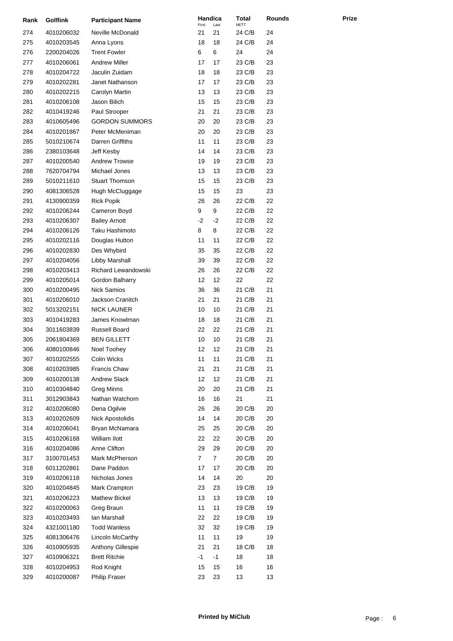| Rank | <b>Golflink</b> | <b>Participant Name</b> | Handica<br>First | Last | Total<br><b>NETT</b> | <b>Rounds</b> |
|------|-----------------|-------------------------|------------------|------|----------------------|---------------|
| 274  | 4010206032      | Neville McDonald        | 21               | 21   | 24 C/B               | 24            |
| 275  | 4010203545      | Anna Lyons              | 18               | 18   | 24 C/B               | 24            |
| 276  | 2200204026      | <b>Trent Fowler</b>     | 6                | 6    | 24                   | 24            |
| 277  | 4010206061      | <b>Andrew Miller</b>    | 17               | 17   | 23 C/B               | 23            |
| 278  | 4010204722      | Jaculin Zuidam          | 18               | 18   | 23 C/B               | 23            |
| 279  | 4010202281      | Janet Nathanson         | 17               | 17   | 23 C/B               | 23            |
| 280  | 4010202215      | Carolyn Martin          | 13               | 13   | 23 C/B               | 23            |
| 281  | 4010206108      | Jason Bilich            | 15               | 15   | 23 C/B               | 23            |
| 282  | 4010419246      | Paul Strooper           | 21               | 21   | 23 C/B               | 23            |
| 283  | 4010605496      | <b>GORDON SUMMORS</b>   | 20               | 20   | 23 C/B               | 23            |
| 284  | 4010201867      | Peter McMeniman         | 20               | 20   | 23 C/B               | 23            |
| 285  | 5010210674      | Darren Griffiths        | 11               | 11   | 23 C/B               | 23            |
| 286  | 2380103648      | Jeff Kesby              | 14               | 14   | 23 C/B               | 23            |
| 287  | 4010200540      | <b>Andrew Trowse</b>    | 19               | 19   | 23 C/B               | 23            |
| 288  | 7620704794      | Michael Jones           | 13               | 13   | 23 C/B               | 23            |
| 289  | 5010211610      | <b>Stuart Thomson</b>   | 15               | 15   | 23 C/B               | 23            |
| 290  | 4081306528      | Hugh McCluggage         | 15               | 15   | 23                   | 23            |
| 291  | 4130900359      | <b>Rick Popik</b>       | 26               | 26   | 22 C/B               | 22            |
| 292  | 4010206244      | Cameron Boyd            | 9                | 9    | 22 C/B               | 22            |
| 293  | 4010206307      | <b>Bailey Arnott</b>    | $-2$             | $-2$ | 22 C/B               | 22            |
| 294  | 4010206126      | Taku Hashimoto          | 8                | 8    | 22 C/B               | 22            |
| 295  | 4010202116      | Douglas Hutton          | 11               | 11   | 22 C/B               | 22            |
| 296  | 4010202830      | Des Whybird             | 35               | 35   | 22 C/B               | 22            |
| 297  | 4010204056      | Libby Marshall          | 39               | 39   | 22 C/B               | 22            |
| 298  | 4010203413      | Richard Lewandowski     | 26               | 26   | 22 C/B               | 22            |
| 299  | 4010205014      | Gordon Balharry         | 12               | 12   | 22                   | 22            |
| 300  | 4010200495      | <b>Nick Samios</b>      | 36               | 36   | 21 C/B               | 21            |
| 301  | 4010206010      | Jackson Cranitch        | 21               | 21   | 21 C/B               | 21            |
| 302  | 5013202151      | <b>NICK LAUNER</b>      | 10               | 10   | 21 C/B               | 21            |
| 303  | 4010419283      | James Knowlman          | 18               | 18   | 21 C/B               | 21            |
| 304  | 3011603839      | Russell Board           | 22               | 22   | 21 C/B               | 21            |
| 305  | 2061804369      | <b>BEN GILLETT</b>      | 10               | 10   | 21 C/B               | 21            |
| 306  | 4080100846      | Noel Toohey             | 12               | 12   | 21 C/B               | 21            |
| 307  | 4010202555      | Colin Wicks             | 11               | 11   | 21 C/B               | 21            |
| 308  | 4010203985      | Francis Chaw            | 21               | 21   | 21 C/B               | 21            |
| 309  | 4010200138      | <b>Andrew Slack</b>     | 12               | 12   | 21 C/B               | 21            |
| 310  | 4010304840      | <b>Greg Minns</b>       | 20               | 20   | 21 C/B               | 21            |
| 311  | 3012903843      | Nathan Watchorn         | 16               | 16   | 21                   | 21            |
| 312  | 4010206080      | Dena Ogilvie            | 26               | 26   | 20 C/B               | 20            |
| 313  | 4010202609      | Nick Apostolidis        | 14               | 14   | 20 C/B               | 20            |
| 314  | 4010206041      | Bryan McNamara          | 25               | 25   | 20 C/B               | 20            |
| 315  | 4010206168      | William Ilott           | 22               | 22   | 20 C/B               | 20            |
| 316  | 4010204086      | Anne Clifton            | 29               | 29   | 20 C/B               | 20            |
| 317  | 3100701453      | Mark McPherson          | 7                | 7    | 20 C/B               | 20            |
| 318  | 6011202861      | Dane Paddon             | 17               | 17   | 20 C/B               | 20            |
| 319  | 4010206118      | Nicholas Jones          | 14               | 14   | 20                   | 20            |
| 320  | 4010204845      | Mark Crampton           | 23               | 23   | 19 C/B               | 19            |
| 321  | 4010206223      | Mathew Bickel           | 13               | 13   | 19 C/B               | 19            |
| 322  | 4010200063      | Greg Braun              | 11               | 11   | 19 C/B               | 19            |
| 323  | 4010203493      | lan Marshall            | 22               | 22   | 19 C/B               | 19            |
| 324  | 4321001180      | <b>Todd Wanless</b>     | 32               | 32   | 19 C/B               | 19            |
| 325  | 4081306476      | Lincoln McCarthy        | 11               | 11   | 19                   | 19            |
| 326  | 4010905935      | Anthony Gillespie       | 21               | 21   | 18 C/B               | 18            |
| 327  | 4010906321      | <b>Brett Ritchie</b>    | $-1$             | $-1$ | 18                   | 18            |
| 328  | 4010204953      | Rod Knight              | 15               | 15   | 16                   | 16            |
| 329  | 4010200087      | Philip Fraser           | 23               | 23   | 13                   | 13            |